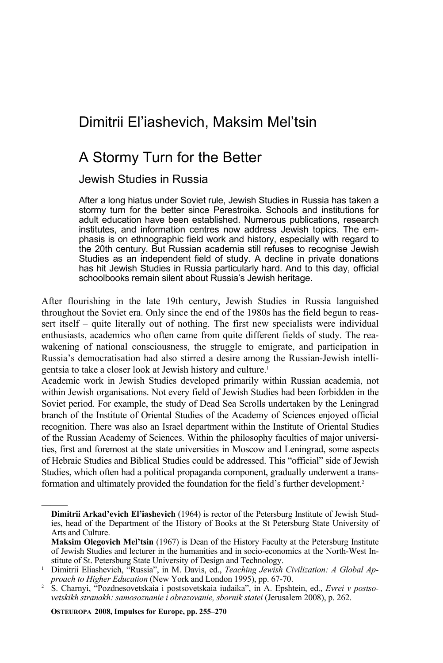# Dimitrii El'iashevich, Maksim Mel'tsin

## A Stormy Turn for the Better

## Jewish Studies in Russia

After a long hiatus under Soviet rule, Jewish Studies in Russia has taken a stormy turn for the better since Perestroika. Schools and institutions for adult education have been established. Numerous publications, research institutes, and information centres now address Jewish topics. The emphasis is on ethnographic field work and history, especially with regard to the 20th century. But Russian academia still refuses to recognise Jewish Studies as an independent field of study. A decline in private donations has hit Jewish Studies in Russia particularly hard. And to this day, official schoolbooks remain silent about Russia's Jewish heritage.

After flourishing in the late 19th century, Jewish Studies in Russia languished throughout the Soviet era. Only since the end of the 1980s has the field begun to reassert itself – quite literally out of nothing. The first new specialists were individual enthusiasts, academics who often came from quite different fields of study. The reawakening of national consciousness, the struggle to emigrate, and participation in Russia's democratisation had also stirred a desire among the Russian-Jewish intelligentsia to take a closer look at Jewish history and culture.<sup>1</sup>

Academic work in Jewish Studies developed primarily within Russian academia, not within Jewish organisations. Not every field of Jewish Studies had been forbidden in the Soviet period. For example, the study of Dead Sea Scrolls undertaken by the Leningrad branch of the Institute of Oriental Studies of the Academy of Sciences enjoyed official recognition. There was also an Israel department within the Institute of Oriental Studies of the Russian Academy of Sciences. Within the philosophy faculties of major universities, first and foremost at the state universities in Moscow and Leningrad, some aspects of Hebraic Studies and Biblical Studies could be addressed. This "official" side of Jewish Studies, which often had a political propaganda component, gradually underwent a transformation and ultimately provided the foundation for the field's further development.2

 **OSTEUROPA 2008, Impulses for Europe, pp. 255–270** 

**Dimitrii Arkad'evich El'iashevich** (1964) is rector of the Petersburg Institute of Jewish Studies, head of the Department of the History of Books at the St Petersburg State University of Arts and Culture.

**Maksim Olegovich Mel'tsin** (1967) is Dean of the History Faculty at the Petersburg Institute of Jewish Studies and lecturer in the humanities and in socio-economics at the North-West Institute of St. Petersburg State University of Design and Technology.

stitute of St. Petersburg State University of Design and Technology. 1 Dimitrii Eliashevich, "Russia", in M. Davis, ed., *Teaching Jewish Civilization: A Global Approach to Higher Education* (New York and London 1995), pp. 67-70. 2 S. Charnyi, "Pozdnesovetskaia i postsovetskaia iudaika", in A. Epshtein, ed., *Еvrei v postso-*

*vetskikh stranakh: samosoznanie i obrazovanie, sbornik statei* (Jerusalem 2008), p. 262.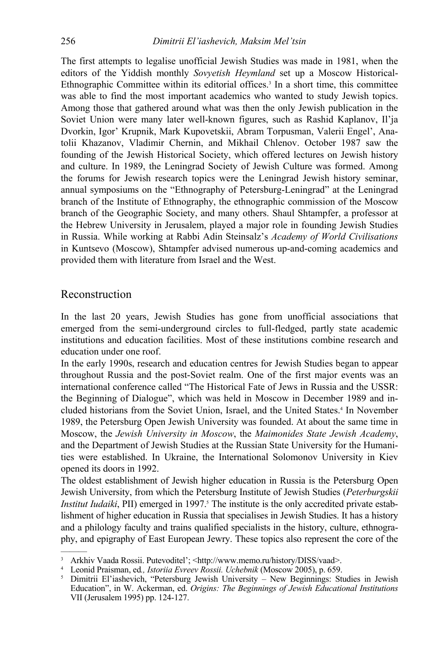The first attempts to legalise unofficial Jewish Studies was made in 1981, when the editors of the Yiddish monthly *Sovyetish Heymland* set up a Moscow Historical-Ethnographic Committee within its editorial offices.<sup>3</sup> In a short time, this committee was able to find the most important academics who wanted to study Jewish topics. Among those that gathered around what was then the only Jewish publication in the Soviet Union were many later well-known figures, such as Rashid Kaplanov, Il'ja Dvorkin, Igor' Krupnik, Mark Kupovetskii, Abram Torpusman, Valerii Engel', Anatolii Khazanov, Vladimir Chernin, and Mikhail Chlenov. October 1987 saw the founding of the Jewish Historical Society, which offered lectures on Jewish history and culture. In 1989, the Leningrad Society of Jewish Culture was formed. Among the forums for Jewish research topics were the Leningrad Jewish history seminar, annual symposiums on the "Ethnography of Petersburg-Leningrad" at the Leningrad branch of the Institute of Ethnography, the ethnographic commission of the Moscow branch of the Geographic Society, and many others. Shaul Shtampfer, a professor at the Hebrew University in Jerusalem, played a major role in founding Jewish Studies in Russia. While working at Rabbi Adin Steinsalz's *Academy of World Civilisations*  in Kuntsevo (Moscow), Shtampfer advised numerous up-and-coming academics and provided them with literature from Israel and the West.

## Reconstruction

———

In the last 20 years, Jewish Studies has gone from unofficial associations that emerged from the semi-underground circles to full-fledged, partly state academic institutions and education facilities. Most of these institutions combine research and education under one roof.

In the early 1990s, research and education centres for Jewish Studies began to appear throughout Russia and the post-Soviet realm. One of the first major events was an international conference called "The Historical Fate of Jews in Russia and the USSR: the Beginning of Dialogue", which was held in Moscow in December 1989 and included historians from the Soviet Union, Israel, and the United States.<sup>4</sup> In November 1989, the Petersburg Open Jewish University was founded. At about the same time in Moscow, the *Jewish University in Moscow*, the *Maimonides State Jewish Academy*, and the Department of Jewish Studies at the Russian State University for the Humanities were established. In Ukraine, the International Solomonov University in Kiev opened its doors in 1992.

The oldest establishment of Jewish higher education in Russia is the Petersburg Open Jewish University, from which the Petersburg Institute of Jewish Studies (*Peterburgskii Institut Iudaiki*, PII) emerged in 1997.<sup>5</sup> The institute is the only accredited private establishment of higher education in Russia that specialises in Jewish Studies. It has a history and a philology faculty and trains qualified specialists in the history, culture, ethnography, and epigraphy of East European Jewry. These topics also represent the core of the

<sup>&</sup>lt;sup>3</sup> Arkhiv Vaada Rossii. Putevoditel'; <http://www.memo.ru/history/DISS/vaad>.<br><sup>4</sup> Leonid Praisman ed. *Istorija Evreev Rossii Llehebnik* (Moscow 2005) n 659.

<sup>&</sup>lt;sup>4</sup> Leonid Praisman, ed., *Istoriia Evreev Rossii. Uchebnik* (Moscow 2005), p. 659.

<sup>&</sup>lt;sup>5</sup> Dimitrii El'iashevich, "Petersburg Jewish University – New Beginnings: Studies in Jewish Education", in W. Ackerman, ed. *Origins: The Beginnings of Jewish Educational Institutions* VII (Jerusalem 1995) pp. 124-127.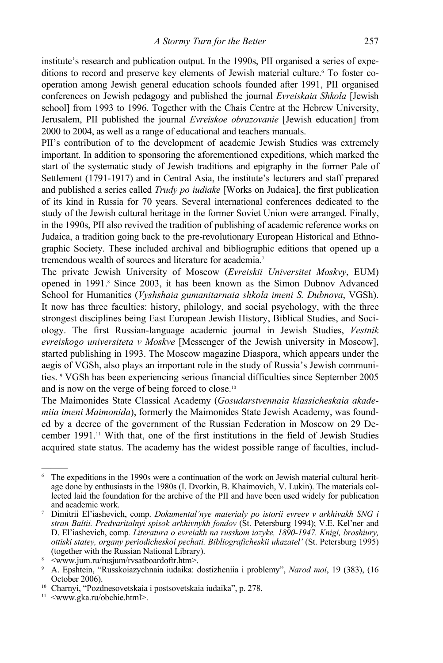institute's research and publication output. In the 1990s, PII organised a series of expeditions to record and preserve key elements of Jewish material culture.<sup>6</sup> To foster cooperation among Jewish general education schools founded after 1991, PII organised conferences on Jewish pedagogy and published the journal *Evreiskaia Shkola* [Jewish school] from 1993 to 1996. Together with the Chais Centre at the Hebrew University, Jerusalem, PII published the journal *Evreiskoe obrazovanie* [Jewish education] from 2000 to 2004, as well as a range of educational and teachers manuals.

PII's contribution of to the development of academic Jewish Studies was extremely important. In addition to sponsoring the aforementioned expeditions, which marked the start of the systematic study of Jewish traditions and epigraphy in the former Pale of Settlement (1791-1917) and in Central Asia, the institute's lecturers and staff prepared and published a series called *Trudy po iudiake* [Works on Judaica], the first publication of its kind in Russia for 70 years. Several international conferences dedicated to the study of the Jewish cultural heritage in the former Soviet Union were arranged. Finally, in the 1990s, PII also revived the tradition of publishing of academic reference works on Judaica, a tradition going back to the pre-revolutionary European Historical and Ethnographic Society. These included archival and bibliographic editions that opened up a tremendous wealth of sources and literature for academia.<sup>7</sup>

The private Jewish University of Moscow (*Evreiskii Universitet Moskvy*, EUM) opened in 1991.<sup>8</sup> Since 2003, it has been known as the Simon Dubnov Advanced School for Humanities (*Vyshshaia gumanitarnaia shkola imeni S. Dubnova*, VGSh). It now has three faculties: history, philology, and social psychology, with the three strongest disciplines being East European Jewish History, Biblical Studies, and Sociology. The first Russian-language academic journal in Jewish Studies, *Vestnik evreiskogo universiteta v Moskve* [Messenger of the Jewish university in Moscow], started publishing in 1993. The Moscow magazine Diaspora, which appears under the aegis of VGSh, also plays an important role in the study of Russia's Jewish communities. 9 VGSh has been experiencing serious financial difficulties since September 2005 and is now on the verge of being forced to close.10

The Maimonides State Classical Academy (*Gosudarstvennaia klassicheskaia akademiia imeni Maimonida*), formerly the Maimonides State Jewish Academy, was founded by a decree of the government of the Russian Federation in Moscow on 29 December 1991.11 With that, one of the first institutions in the field of Jewish Studies acquired state status. The academy has the widest possible range of faculties, includ-

<sup>6</sup> The expeditions in the 1990s were a continuation of the work on Jewish material cultural heritage done by enthusiasts in the 1980s (I. Dvorkin, B. Khaimovich, V. Lukin). The materials collected laid the foundation for the archive of the PII and have been used widely for publication and academic work.

Dimitrii El'iashevich, comp. *Dokumental'nye materialy po istorii evreev v arkhivakh SNG i stran Baltii. Predvaritalnyi spisok arkhivnykh fondov* (St. Petersburg 1994); V.Е. Kel'ner and D. El'iashevich, comp*. Literatura o evreiakh na russkom iazyke, 1890-1947. Knigi, broshiury, ottiski statey, organy periodicheskoi pechati. Bibliograficheskii ukazatel'* (St. Petersburg 1995) (together with the Russian National Library). 8

 <sup>&</sup>lt;www.jum.ru/rusjum/rvsatboardoftr.htm>.

<sup>9</sup> А. Epshtein, "Russkoiazychnaia iudaika: dostizheniia i problemy", *Narod moi*, 19 (383), (16 October 2006). 10 Charnyi, "Pozdnesovetskaia i postsovetskaia iudaika", p. 278.

<sup>&</sup>lt;sup>11</sup> <www.gka.ru/obchie.html>.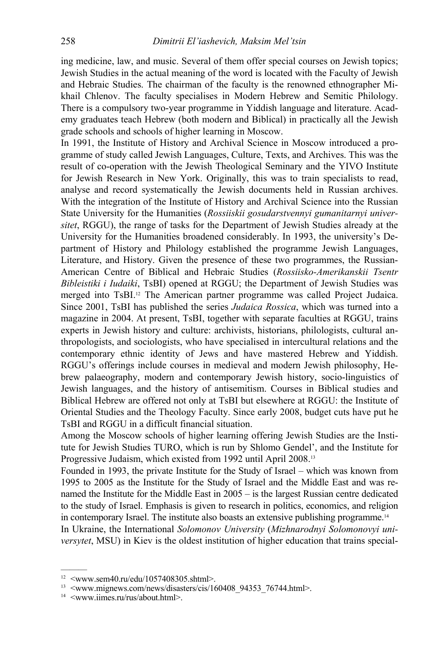ing medicine, law, and music. Several of them offer special courses on Jewish topics; Jewish Studies in the actual meaning of the word is located with the Faculty of Jewish and Hebraic Studies. The chairman of the faculty is the renowned ethnographer Mikhail Chlenov. The faculty specialises in Modern Hebrew and Semitic Philology. There is a compulsory two-year programme in Yiddish language and literature. Academy graduates teach Hebrew (both modern and Biblical) in practically all the Jewish grade schools and schools of higher learning in Moscow.

In 1991, the Institute of History and Archival Science in Moscow introduced a programme of study called Jewish Languages, Culture, Texts, and Archives. This was the result of co-operation with the Jewish Theological Seminary and the YIVO Institute for Jewish Research in New York. Originally, this was to train specialists to read, analyse and record systematically the Jewish documents held in Russian archives. With the integration of the Institute of History and Archival Science into the Russian State University for the Humanities (*Rossiiskii gosudarstvennyi gumanitarnyi universitet*, RGGU), the range of tasks for the Department of Jewish Studies already at the University for the Humanities broadened considerably. In 1993, the university's Department of History and Philology established the programme Jewish Languages, Literature, and History. Given the presence of these two programmes, the Russian-American Centre of Biblical and Hebraic Studies (*Rossiisko-Amerikanskii Tsentr Bibleistiki i Iudaiki*, TsBI) opened at RGGU; the Department of Jewish Studies was merged into TsBI.<sup>12</sup> The American partner programme was called Project Judaica. Since 2001, TsBI has published the series *Judaica Rossica*, which was turned into a magazine in 2004. At present, TsBI, together with separate faculties at RGGU, trains experts in Jewish history and culture: archivists, historians, philologists, cultural anthropologists, and sociologists, who have specialised in intercultural relations and the contemporary ethnic identity of Jews and have mastered Hebrew and Yiddish. RGGU's offerings include courses in medieval and modern Jewish philosophy, Hebrew palaeography, modern and contemporary Jewish history, socio-linguistics of Jewish languages, and the history of antisemitism. Courses in Biblical studies and Biblical Hebrew are offered not only at TsBI but elsewhere at RGGU: the Institute of Oriental Studies and the Theology Faculty. Since early 2008, budget cuts have put he TsBI and RGGU in a difficult financial situation.

Among the Moscow schools of higher learning offering Jewish Studies are the Institute for Jewish Studies TURO, which is run by Shlomo Gendel', and the Institute for Progressive Judaism, which existed from 1992 until April 2008.13

Founded in 1993, the private Institute for the Study of Israel – which was known from 1995 to 2005 as the Institute for the Study of Israel and the Middle East and was renamed the Institute for the Middle East in 2005 – is the largest Russian centre dedicated to the study of Israel. Emphasis is given to research in politics, economics, and religion in contemporary Israel. The institute also boasts an extensive publishing programme.<sup>14</sup>

In Ukraine, the International *Solomonov University* (*Mizhnarodnyi Solomonovyi universytet*, MSU) in Kiev is the oldest institution of higher education that trains special-

<sup>12 &</sup>lt;www.sem40.ru/edu/1057408305.shtml>.

<sup>&</sup>lt;sup>13</sup> <www.mignews.com/news/disasters/cis/160408\_94353\_76744.html>.<br><sup>14</sup> <www.iimes.ru/rus/about.html>.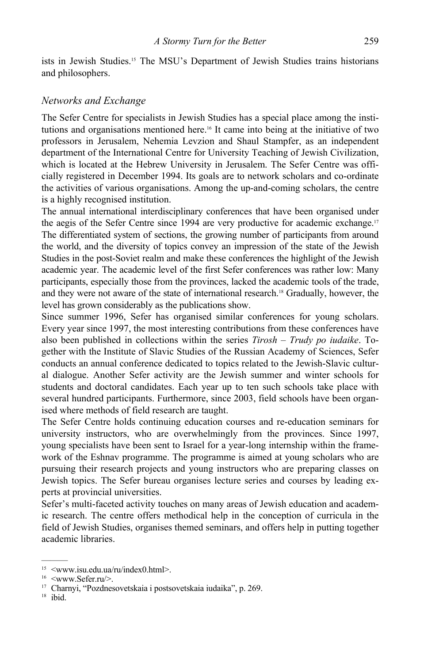ists in Jewish Studies.15 The MSU's Department of Jewish Studies trains historians and philosophers.

#### *Networks and Exchange*

The Sefer Centre for specialists in Jewish Studies has a special place among the institutions and organisations mentioned here.16 It came into being at the initiative of two professors in Jerusalem, Nehemia Levzion and Shaul Stampfer, as an independent department of the International Centre for University Teaching of Jewish Civilization, which is located at the Hebrew University in Jerusalem. The Sefer Centre was officially registered in December 1994. Its goals are to network scholars and co-ordinate the activities of various organisations. Among the up-and-coming scholars, the centre is a highly recognised institution.

The annual international interdisciplinary conferences that have been organised under the aegis of the Sefer Centre since 1994 are very productive for academic exchange.17 The differentiated system of sections, the growing number of participants from around the world, and the diversity of topics convey an impression of the state of the Jewish Studies in the post-Soviet realm and make these conferences the highlight of the Jewish academic year. The academic level of the first Sefer conferences was rather low: Many participants, especially those from the provinces, lacked the academic tools of the trade, and they were not aware of the state of international research.18 Gradually, however, the level has grown considerably as the publications show.

Since summer 1996, Sefer has organised similar conferences for young scholars. Every year since 1997, the most interesting contributions from these conferences have also been published in collections within the series *Tirosh – Trudy po iudaike*. Together with the Institute of Slavic Studies of the Russian Academy of Sciences, Sefer conducts an annual conference dedicated to topics related to the Jewish-Slavic cultural dialogue. Another Sefer activity are the Jewish summer and winter schools for students and doctoral candidates. Each year up to ten such schools take place with several hundred participants. Furthermore, since 2003, field schools have been organised where methods of field research are taught.

The Sefer Centre holds continuing education courses and re-education seminars for university instructors, who are overwhelmingly from the provinces. Since 1997, young specialists have been sent to Israel for a year-long internship within the framework of the Eshnav programme. The programme is aimed at young scholars who are pursuing their research projects and young instructors who are preparing classes on Jewish topics. The Sefer bureau organises lecture series and courses by leading experts at provincial universities.

Sefer's multi-faceted activity touches on many areas of Jewish education and academic research. The centre offers methodical help in the conception of curricula in the field of Jewish Studies, organises themed seminars, and offers help in putting together academic libraries.

 $15$  <www.isu.edu.ua/ru/index0.html>.

<sup>&</sup>lt;sup>16</sup> <www.Sefer.ru/>.

<sup>17</sup> Charnyi, "Pozdnesovetskaia i postsovetskaia iudaika", p. 269.

 $18$  ibid.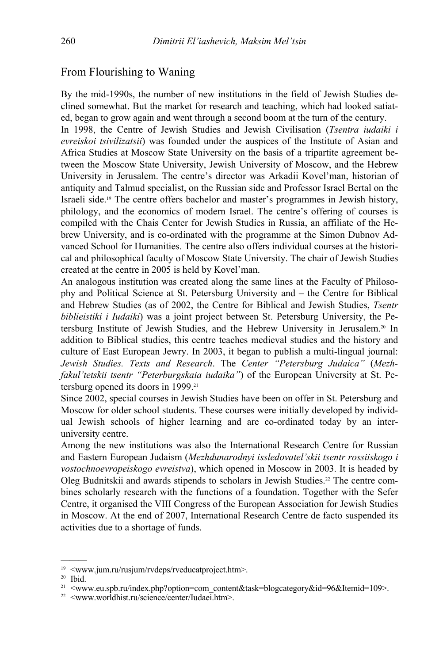#### From Flourishing to Waning

By the mid-1990s, the number of new institutions in the field of Jewish Studies declined somewhat. But the market for research and teaching, which had looked satiated, began to grow again and went through a second boom at the turn of the century.

In 1998, the Centre of Jewish Studies and Jewish Civilisation (*Tsentra iudaiki i evreiskoi tsivilizatsii*) was founded under the auspices of the Institute of Asian and Africa Studies at Moscow State University on the basis of a tripartite agreement between the Moscow State University, Jewish University of Moscow, and the Hebrew University in Jerusalem. The centre's director was Arkadii Kovel'man, historian of antiquity and Talmud specialist, on the Russian side and Professor Israel Bertal on the Israeli side.19 The centre offers bachelor and master's programmes in Jewish history, philology, and the economics of modern Israel. The centre's offering of courses is compiled with the Chais Center for Jewish Studies in Russia, an affiliate of the Hebrew University, and is co-ordinated with the programme at the Simon Dubnov Advanced School for Humanities. The centre also offers individual courses at the historical and philosophical faculty of Moscow State University. The chair of Jewish Studies created at the centre in 2005 is held by Kovel'man.

An analogous institution was created along the same lines at the Faculty of Philosophy and Political Science at St. Petersburg University and – the Centre for Biblical and Hebrew Studies (as of 2002, the Centre for Biblical and Jewish Studies, *Tsentr biblieistiki i Iudaiki*) was a joint project between St. Petersburg University, the Petersburg Institute of Jewish Studies, and the Hebrew University in Jerusalem.20 In addition to Biblical studies, this centre teaches medieval studies and the history and culture of East European Jewry. In 2003, it began to publish a multi-lingual journal: *Jewish Studies. Texts and Research*. The *Center "Petersburg Judaica"* (*Mezhfakul'tetskii tsentr "Peterburgskaia iudaika"*) of the European University at St. Petersburg opened its doors in 1999.21

Since 2002, special courses in Jewish Studies have been on offer in St. Petersburg and Moscow for older school students. These courses were initially developed by individual Jewish schools of higher learning and are co-ordinated today by an interuniversity centre.

Among the new institutions was also the International Research Centre for Russian and Eastern European Judaism (*Mezhdunarodnyi issledovatel'skii tsentr rossiiskogo i vostochnoevropeiskogo evreistva*), which opened in Moscow in 2003. It is headed by Oleg Budnitskii and awards stipends to scholars in Jewish Studies.22 The centre combines scholarly research with the functions of a foundation. Together with the Sefer Centre, it organised the VIII Congress of the European Association for Jewish Studies in Moscow. At the end of 2007, International Research Centre de facto suspended its activities due to a shortage of funds.

<sup>19 &</sup>lt;www.jum.ru/rusjum/rvdeps/rveducatproject.htm>.

<sup>———</sup>  20 Ibid.

<sup>&</sup>lt;sup>21</sup>  $\leq$ www.eu.spb.ru/index.php?option=com\_content&task=blogcategory&id=96&Itemid=109>.<br><sup>22</sup>  $\leq$ www.worldhist.ru/science/center/Iudaei.htm>.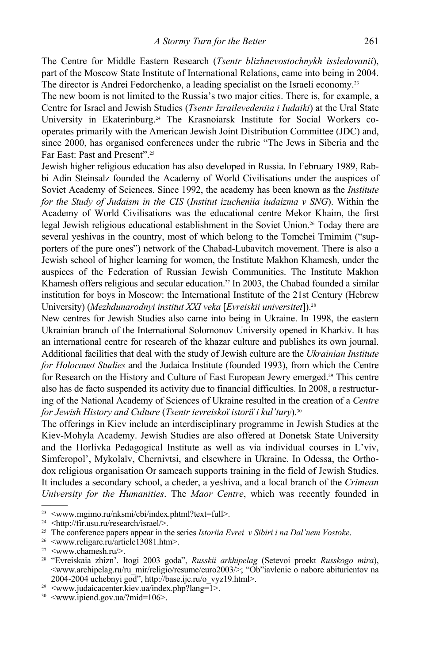The Centre for Middle Eastern Research (*Tsentr blizhnevostochnykh issledovanii*), part of the Moscow State Institute of International Relations, came into being in 2004. The director is Andrei Fedorchenko, a leading specialist on the Israeli economy.23

The new boom is not limited to the Russia's two major cities. There is, for example, a Centre for Israel and Jewish Studies (*Tsentr Izrailevedeniia i Iudaiki*) at the Ural State University in Ekaterinburg.24 The Krasnoiarsk Institute for Social Workers cooperates primarily with the American Jewish Joint Distribution Committee (JDC) and, since 2000, has organised conferences under the rubric "The Jews in Siberia and the Far East: Past and Present".25

Jewish higher religious education has also developed in Russia. In February 1989, Rabbi Adin Steinsalz founded the Academy of World Civilisations under the auspices of Soviet Academy of Sciences. Since 1992, the academy has been known as the *Institute for the Study of Judaism in the CIS* (*Institut izucheniia iudaizma v SNG*). Within the Academy of World Civilisations was the educational centre Mekor Khaim, the first legal Jewish religious educational establishment in the Soviet Union.26 Today there are several yeshivas in the country, most of which belong to the Tomchei Tmimim ("supporters of the pure ones") network of the Chabad-Lubavitch movement. There is also a Jewish school of higher learning for women, the Institute Makhon Khamesh, under the auspices of the Federation of Russian Jewish Communities. The Institute Makhon Khamesh offers religious and secular education.<sup>27</sup> In 2003, the Chabad founded a similar institution for boys in Moscow: the International Institute of the 21st Century (Hebrew University) (*Mezhdunarodnyi institut XXI veka* [*Evreiskii universitet*]).28

New centres for Jewish Studies also came into being in Ukraine. In 1998, the eastern Ukrainian branch of the International Solomonov University opened in Kharkiv. It has an international centre for research of the khazar culture and publishes its own journal. Additional facilities that deal with the study of Jewish culture are the *Ukrainian Institute for Holocaust Studies* and the Judaica Institute (founded 1993), from which the Centre for Research on the History and Culture of East European Jewry emerged.29 This centre also has de facto suspended its activity due to financial difficulties. In 2008, a restructuring of the National Academy of Sciences of Ukraine resulted in the creation of a *Centre for Jewish History and Culture* (*Tsentr ievreiskoї istoriї i kul'tury*).30

The offerings in Kiev include an interdisciplinary programme in Jewish Studies at the Kiev-Mohyla Academy. Jewish Studies are also offered at Donetsk State University and the Horlivka Pedagogical Institute as well as via individual courses in L'viv, Simferopol', Mykolaїv, Chernivtsi, and elsewhere in Ukraine. In Odessa, the Orthodox religious organisation Or sameach supports training in the field of Jewish Studies. It includes a secondary school, a cheder, a yeshiva, and a local branch of the *Crimean University for the Humanities*. The *Maor Centre*, which was recently founded in

<sup>23 &</sup>lt;www.mgimo.ru/nksmi/cbi/index.phtml?text=full>.

<sup>24 &</sup>lt;http://fir.usu.ru/research/israel/>.

<sup>&</sup>lt;sup>25</sup> The conference papers appear in the series *Istoriia Evrei v Sibiri i na Dal'nem Vostoke*.<br><sup>26</sup> <www.religare.ru/article13081.htm>.

<sup>27 &</sup>lt;www.chamesh.ru/>.

<sup>28 &</sup>quot;Evreiskaia zhizn'. Itogi 2003 goda", *Russkii arkhipelag* (Setevoi proekt *Russkogo mira*), <www.archipelag.ru/ru\_mir/religio/resume/euro2003/>; "Ob"iavlenie o nabore abiturientov na 2004-2004 uchebnyi god", http://base.ijc.ru/o\_vyz19.html>. 29 <www.judaicacenter.kiev.ua/index.php?lang=1>.

<sup>30 &</sup>lt;www.ipiend.gov.ua/?mid=106>.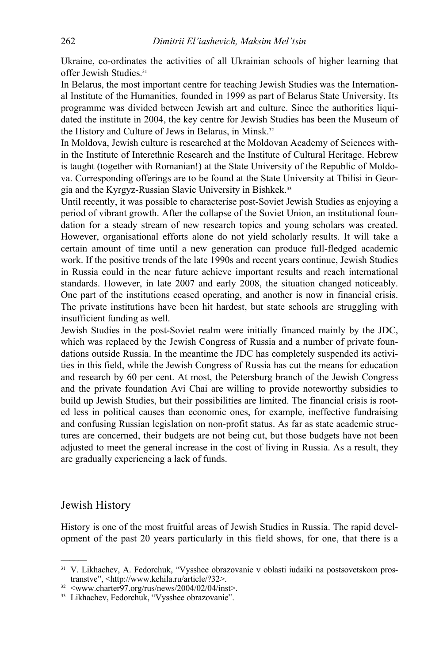Ukraine, co-ordinates the activities of all Ukrainian schools of higher learning that offer Jewish Studies.31

In Belarus, the most important centre for teaching Jewish Studies was the International Institute of the Humanities, founded in 1999 as part of Belarus State University. Its programme was divided between Jewish art and culture. Since the authorities liquidated the institute in 2004, the key centre for Jewish Studies has been the Museum of the History and Culture of Jews in Belarus, in Minsk.<sup>32</sup>

In Moldova, Jewish culture is researched at the Moldovan Academy of Sciences within the Institute of Interethnic Research and the Institute of Cultural Heritage. Hebrew is taught (together with Romanian!) at the State University of the Republic of Moldova. Corresponding offerings are to be found at the State University at Tbilisi in Georgia and the Kyrgyz-Russian Slavic University in Bishkek.33

Until recently, it was possible to characterise post-Soviet Jewish Studies as enjoying a period of vibrant growth. After the collapse of the Soviet Union, an institutional foundation for a steady stream of new research topics and young scholars was created. However, organisational efforts alone do not yield scholarly results. It will take a certain amount of time until a new generation can produce full-fledged academic work. If the positive trends of the late 1990s and recent years continue, Jewish Studies in Russia could in the near future achieve important results and reach international standards. However, in late 2007 and early 2008, the situation changed noticeably. One part of the institutions ceased operating, and another is now in financial crisis. The private institutions have been hit hardest, but state schools are struggling with insufficient funding as well.

Jewish Studies in the post-Soviet realm were initially financed mainly by the JDC, which was replaced by the Jewish Congress of Russia and a number of private foundations outside Russia. In the meantime the JDC has completely suspended its activities in this field, while the Jewish Congress of Russia has cut the means for education and research by 60 per cent. At most, the Petersburg branch of the Jewish Congress and the private foundation Avi Chai are willing to provide noteworthy subsidies to build up Jewish Studies, but their possibilities are limited. The financial crisis is rooted less in political causes than economic ones, for example, ineffective fundraising and confusing Russian legislation on non-profit status. As far as state academic structures are concerned, their budgets are not being cut, but those budgets have not been adjusted to meet the general increase in the cost of living in Russia. As a result, they are gradually experiencing a lack of funds.

#### Jewish History

———

History is one of the most fruitful areas of Jewish Studies in Russia. The rapid development of the past 20 years particularly in this field shows, for one, that there is a

<sup>31</sup> V. Likhachev, A. Fedorchuk, "Vysshee obrazovanie v oblasti iudaiki na postsovetskom prostranstve", <http://www.kehila.ru/article/?32>.<br><sup>32</sup> <www.charter97.org/rus/news/2004/02/04/inst>.

<sup>33</sup> Likhachev, Fedorchuk, "Vysshee obrazovanie".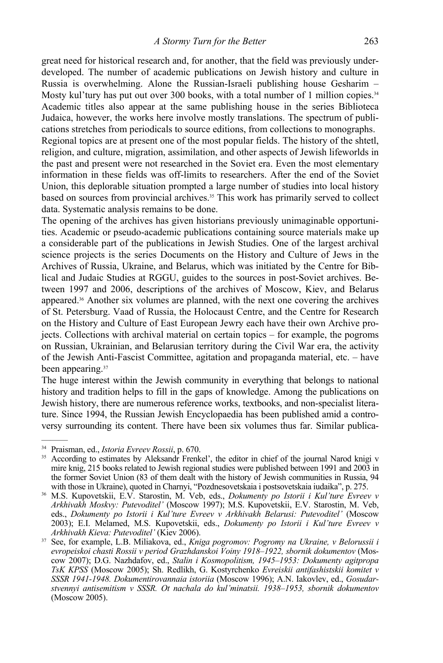great need for historical research and, for another, that the field was previously underdeveloped. The number of academic publications on Jewish history and culture in Russia is overwhelming. Alone the Russian-Israeli publishing house Gesharim – Mosty kul'tury has put out over 300 books, with a total number of 1 million copies.<sup>34</sup> Academic titles also appear at the same publishing house in the series Biblioteca Judaica, however, the works here involve mostly translations. The spectrum of publications stretches from periodicals to source editions, from collections to monographs. Regional topics are at present one of the most popular fields. The history of the shtetl, religion, and culture, migration, assimilation, and other aspects of Jewish lifeworlds in the past and present were not researched in the Soviet era. Even the most elementary information in these fields was off-limits to researchers. After the end of the Soviet Union, this deplorable situation prompted a large number of studies into local history based on sources from provincial archives.<sup>35</sup> This work has primarily served to collect data. Systematic analysis remains to be done.

The opening of the archives has given historians previously unimaginable opportunities. Academic or pseudo-academic publications containing source materials make up a considerable part of the publications in Jewish Studies. One of the largest archival science projects is the series Documents on the History and Culture of Jews in the Archives of Russia, Ukraine, and Belarus, which was initiated by the Centre for Biblical and Judaic Studies at RGGU, guides to the sources in post-Soviet archives. Between 1997 and 2006, descriptions of the archives of Moscow, Kiev, and Belarus appeared.36 Another six volumes are planned, with the next one covering the archives of St. Petersburg. Vaad of Russia, the Holocaust Centre, and the Centre for Research on the History and Culture of East European Jewry each have their own Archive projects. Collections with archival material on certain topics – for example, the pogroms on Russian, Ukrainian, and Belarusian territory during the Civil War era, the activity of the Jewish Anti-Fascist Committee, agitation and propaganda material, etc. – have been appearing.<sup>37</sup>

The huge interest within the Jewish community in everything that belongs to national history and tradition helps to fill in the gaps of knowledge. Among the publications on Jewish history, there are numerous reference works, textbooks, and non-specialist literature. Since 1994, the Russian Jewish Encyclopaedia has been published amid a controversy surrounding its content. There have been six volumes thus far. Similar publica-

<sup>&</sup>lt;sup>34</sup> Praisman, ed., *Istoria Evreev Rossii*, p. 670.<br><sup>35</sup> According to estimates by Aleksandr Frenkel', the editor in chief of the journal Narod knigi v mire knig, 215 books related to Jewish regional studies were published between 1991 and 2003 in the former Soviet Union (83 of them dealt with the history of Jewish communities in Russia, 94 with those in Ukraine), quoted in Charnyi, "Pozdnesovetskaia i postsovetskaia iudaika", p. 275.

<sup>&</sup>lt;sup>36</sup> M.S. Kupovetskii, E.V. Starostin, M. Veb, eds., *Dokumenty po Istorii i Kul'ture Evreev v Arkhivakh Moskvy: Putevoditel'* (Moscow 1997); M.S. Kupovetskii, Е.V. Starostin, M. Veb, eds., *Dokumenty po Istorii i Kul'ture Evreev v Arkhivakh Belarusi: Putevoditel'* (Moscow 2003); E.I. Melamed, М.S. Kupovetskii, eds., *Dokumenty po Istorii i Kul'ture Evreev v Arkhivakh Kieva: Putevoditel'* (Kiev 2006). 37 See, for example, L.B. Miliakova, ed., *Kniga pogromov: Pogromy na Ukraine, v Belorussii i* 

*evropeiskoi chasti Rossii v period Grazhdanskoi Voiny 1918–1922, sbornik dokumentov* (Moscow 2007); D.G. Nazhdafov, ed., *Stalin i Kosmopolitism, 1945–1953: Dokumenty agitpropa TsK KPSS* (Мoscow 2005); Sh. Redlikh, G. Kostyrchenko *Evreiskii antifashistskii komitet v SSSR 1941-1948. Dokumentirovannaia istoriia* (Moscow 1996); A.N. Iakovlev, ed., *Gosudarstvennyi antisemitism v SSSR. Ot nachala do kul'minatsii. 1938–1953, sbornik dokumentov* (Moscow 2005).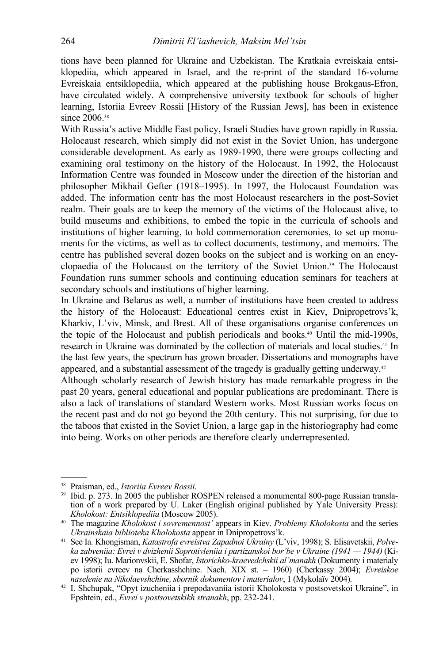tions have been planned for Ukraine and Uzbekistan. The Kratkaia evreiskaia entsiklopediia, which appeared in Israel, and the re-print of the standard 16-volume Evreiskaia entsiklopediia, which appeared at the publishing house Brokgaus-Efron, have circulated widely. A comprehensive university textbook for schools of higher learning, Istoriia Evreev Rossii [History of the Russian Jews], has been in existence since 2006.<sup>38</sup>

With Russia's active Middle East policy, Israeli Studies have grown rapidly in Russia. Holocaust research, which simply did not exist in the Soviet Union, has undergone considerable development. As early as 1989-1990, there were groups collecting and examining oral testimony on the history of the Holocaust. In 1992, the Holocaust Information Centre was founded in Moscow under the direction of the historian and philosopher Mikhail Gefter (1918–1995). In 1997, the Holocaust Foundation was added. The information centr has the most Holocaust researchers in the post-Soviet realm. Their goals are to keep the memory of the victims of the Holocaust alive, to build museums and exhibitions, to embed the topic in the curricula of schools and institutions of higher learning, to hold commemoration ceremonies, to set up monuments for the victims, as well as to collect documents, testimony, and memoirs. The centre has published several dozen books on the subject and is working on an encyclopaedia of the Holocaust on the territory of the Soviet Union. 39 The Holocaust Foundation runs summer schools and continuing education seminars for teachers at secondary schools and institutions of higher learning.

In Ukraine and Belarus as well, a number of institutions have been created to address the history of the Holocaust: Educational centres exist in Kiev, Dnipropetrovs'k, Kharkiv, L'viv, Minsk, and Brest. All of these organisations organise conferences on the topic of the Holocaust and publish periodicals and books.<sup>40</sup> Until the mid-1990s, research in Ukraine was dominated by the collection of materials and local studies.<sup>41</sup> In the last few years, the spectrum has grown broader. Dissertations and monographs have appeared, and a substantial assessment of the tragedy is gradually getting underway.42

Although scholarly research of Jewish history has made remarkable progress in the past 20 years, general educational and popular publications are predominant. There is also a lack of translations of standard Western works. Most Russian works focus on the recent past and do not go beyond the 20th century. This not surprising, for due to the taboos that existed in the Soviet Union, a large gap in the historiography had come into being. Works on other periods are therefore clearly underrepresented.

<sup>&</sup>lt;sup>38</sup> Praisman, ed., *Istoriia Evreev Rossii*.<br><sup>39</sup> Ibid. p. 273. In 2005 the publisher ROSPEN released a monumental 800-page Russian translation of a work prepared by U. Laker (English original published by Yale University Press):<br>Kholokost: Entsiklopediia (Moscow 2005).

<sup>&</sup>lt;sup>40</sup> The magazine *Kholokost i sovremennost'* appears in Kiev. *Problemy Kholokosta* and the series *Ukrainskaia biblioteka Kholokosta* appear in Dnipropetrovs'k. 41 See Ia. Khongisman, *Katastrofa evreistva Zapadnoi Ukrainy* (L'viv, 1998); S. Elisavetskii, *Polve-*

*ka zabveniia: Evrei v dvizhenii Soprotivleniia i partizanskoi bor'be v Ukraine (1941 — 1944)* (Kiev 1998); Iu. Marionvskii, E. Shofar, *Istorichko-kraevedchskii al'manakh* (Dokumenty i materialy po istorii evreev na Cherkasshchine. Nach. XIX st. – 1960) (Cherkassy 2004); *Evreiskoe* 

<sup>&</sup>lt;sup>42</sup> I. Shchupak, "Opyt izucheniia i prepodavaniia istorii Kholokosta v postsovetskoi Ukraine", in Epshtein, ed., *Evrei v postsovetskikh stranakh*, pp. 232-241.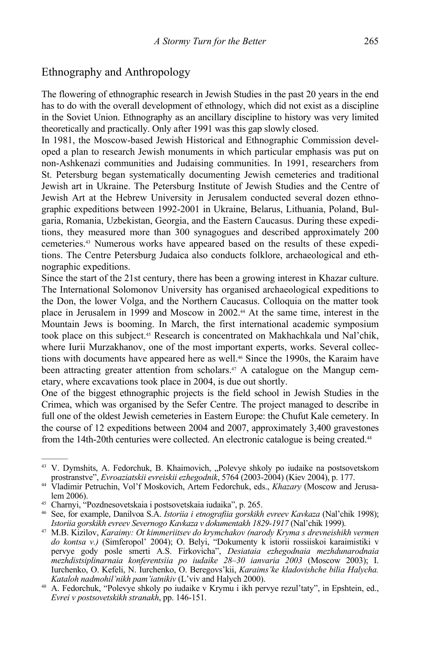## Ethnography and Anthropology

The flowering of ethnographic research in Jewish Studies in the past 20 years in the end has to do with the overall development of ethnology, which did not exist as a discipline in the Soviet Union. Ethnography as an ancillary discipline to history was very limited theoretically and practically. Only after 1991 was this gap slowly closed.

In 1981, the Moscow-based Jewish Historical and Ethnographic Commission developed a plan to research Jewish monuments in which particular emphasis was put on non-Ashkenazi communities and Judaising communities. In 1991, researchers from St. Petersburg began systematically documenting Jewish cemeteries and traditional Jewish art in Ukraine. The Petersburg Institute of Jewish Studies and the Centre of Jewish Art at the Hebrew University in Jerusalem conducted several dozen ethnographic expeditions between 1992-2001 in Ukraine, Belarus, Lithuania, Poland, Bulgaria, Romania, Uzbekistan, Georgia, and the Eastern Caucasus. During these expeditions, they measured more than 300 synagogues and described approximately 200 cemeteries.43 Numerous works have appeared based on the results of these expeditions. The Centre Petersburg Judaica also conducts folklore, archaeological and ethnographic expeditions.

Since the start of the 21st century, there has been a growing interest in Khazar culture. The International Solomonov University has organised archaeological expeditions to the Don, the lower Volga, and the Northern Caucasus. Colloquia on the matter took place in Jerusalem in 1999 and Moscow in 2002.44 At the same time, interest in the Mountain Jews is booming. In March, the first international academic symposium took place on this subject.45 Research is concentrated on Makhachkala und Nal'chik, where Iurii Murzakhanov, one of the most important experts, works. Several collections with documents have appeared here as well.<sup>46</sup> Since the 1990s, the Karaim have been attracting greater attention from scholars.47 A catalogue on the Mangup cemetary, where excavations took place in 2004, is due out shortly.

One of the biggest ethnographic projects is the field school in Jewish Studies in the Crimea, which was organised by the Sefer Centre. The project managed to describe in full one of the oldest Jewish cemeteries in Eastern Europe: the Chufut Kale cemetery. In the course of 12 expeditions between 2004 and 2007, approximately 3,400 gravestones from the 14th-20th centuries were collected. An electronic catalogue is being created.48

<sup>&</sup>lt;sup>43</sup> V. Dymshits, A. Fedorchuk, B. Khaimovich, "Polevye shkoly po iudaike na postsovetskom prostranstve", *Evroaziatskii evreiskii ezhegodnik*, 5764 (2003-2004) (Kiev 2004), p. 177.

<sup>&</sup>lt;sup>44</sup> Vladimir Petruchin, Vol'f Moskovich, Artem Fedorchuk, eds., *Khazary* (Moscow and Jerusalem 2006). 45 Charnyi, "Pozdnesovetskaia i postsovetskaia iudaika", p. 265.

<sup>46</sup> See, for example, Danilvoa S.A. *Istoriia i etnografiia gorskikh evreev Kavkaza* (Nal'chik 1998);

<sup>&</sup>lt;sup>47</sup> M.B. Kizilov, *Karaimy: Ot kimmeriitsev do krymchakov (narody Kryma s drevneishikh vermen do kontsa v.)* (Simferopol' 2004); О. Belyi, "Dokumenty k istorii rossiiskoi karaimistiki v pervye gody posle smerti A.S. Firkovicha", *Desiataia ezhegodnaia mezhdunarodnaia mezhdistsiplinarnaia konferentsiia po iudaike 28–30 ianvaria 2003* (Moscow 2003); I. Iurchenko, O. Kefeli, N. Iurchenko, O. Beregovs'kii, *Karaims'ke kladovishche bilia Halycha. Kataloh nadmohil'nikh pam'iatnikiv* (L'viv and Halych 2000). 48 A. Fedorchuk, "Polevye shkoly po iudaike v Krymu i ikh pervye rezul'taty", in Epshtein, ed.,

*Evrei v postsovetskikh stranakh*, pp. 146-151.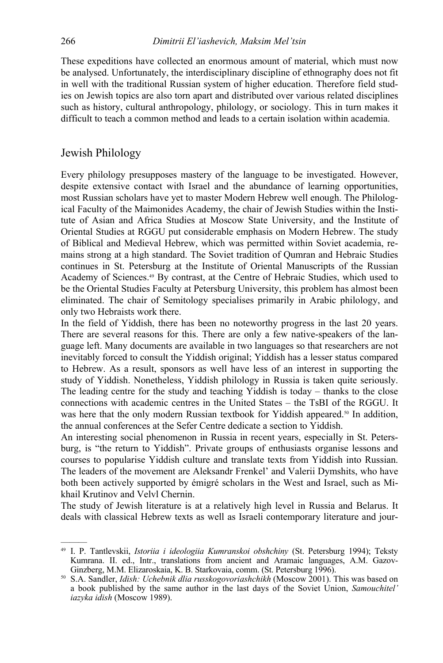These expeditions have collected an enormous amount of material, which must now be analysed. Unfortunately, the interdisciplinary discipline of ethnography does not fit in well with the traditional Russian system of higher education. Therefore field studies on Jewish topics are also torn apart and distributed over various related disciplines such as history, cultural anthropology, philology, or sociology. This in turn makes it difficult to teach a common method and leads to a certain isolation within academia.

### Jewish Philology

———

Every philology presupposes mastery of the language to be investigated. However, despite extensive contact with Israel and the abundance of learning opportunities, most Russian scholars have yet to master Modern Hebrew well enough. The Philological Faculty of the Maimonides Academy, the chair of Jewish Studies within the Institute of Asian and Africa Studies at Moscow State University, and the Institute of Oriental Studies at RGGU put considerable emphasis on Modern Hebrew. The study of Biblical and Medieval Hebrew, which was permitted within Soviet academia, remains strong at a high standard. The Soviet tradition of Qumran and Hebraic Studies continues in St. Petersburg at the Institute of Oriental Manuscripts of the Russian Academy of Sciences.49 By contrast, at the Centre of Hebraic Studies, which used to be the Oriental Studies Faculty at Petersburg University, this problem has almost been eliminated. The chair of Semitology specialises primarily in Arabic philology, and only two Hebraists work there.

In the field of Yiddish, there has been no noteworthy progress in the last 20 years. There are several reasons for this. There are only a few native-speakers of the language left. Many documents are available in two languages so that researchers are not inevitably forced to consult the Yiddish original; Yiddish has a lesser status compared to Hebrew. As a result, sponsors as well have less of an interest in supporting the study of Yiddish. Nonetheless, Yiddish philology in Russia is taken quite seriously. The leading centre for the study and teaching Yiddish is today – thanks to the close connections with academic centres in the United States – the TsBI of the RGGU. It was here that the only modern Russian textbook for Yiddish appeared.<sup>50</sup> In addition, the annual conferences at the Sefer Centre dedicate a section to Yiddish.

An interesting social phenomenon in Russia in recent years, especially in St. Petersburg, is "the return to Yiddish". Private groups of enthusiasts organise lessons and courses to popularise Yiddish culture and translate texts from Yiddish into Russian. The leaders of the movement are Aleksandr Frenkel' and Valerii Dymshits, who have both been actively supported by émigré scholars in the West and Israel, such as Mikhail Krutinov and Velvl Chernin.

The study of Jewish literature is at a relatively high level in Russia and Belarus. It deals with classical Hebrew texts as well as Israeli contemporary literature and jour-

<sup>49</sup> I. P. Tantlevskii, *Istoriia i ideologiia Kumranskoi obshchiny* (St. Petersburg 1994); Teksty Kumrana. II. ed., Intr., translations from ancient and Aramaic languages, A.M. Gazov-Ginzberg, M.M. Elizaroskaia, K. B. Starkovaia, comm. (St. Petersburg 1996).

<sup>&</sup>lt;sup>50</sup> S.A. Sandler, *Idish: Uchebnik dlia russkogovoriashchikh* (Moscow 2001). This was based on a book published by the same author in the last days of the Soviet Union, *Samouchitel' iazyka idish* (Moscow 1989).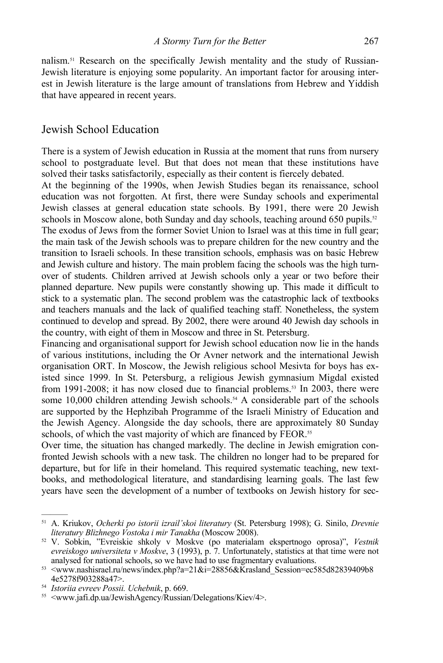nalism.51 Research on the specifically Jewish mentality and the study of Russian-Jewish literature is enjoying some popularity. An important factor for arousing interest in Jewish literature is the large amount of translations from Hebrew and Yiddish that have appeared in recent years.

## Jewish School Education

There is a system of Jewish education in Russia at the moment that runs from nursery school to postgraduate level. But that does not mean that these institutions have solved their tasks satisfactorily, especially as their content is fiercely debated.

At the beginning of the 1990s, when Jewish Studies began its renaissance, school education was not forgotten. At first, there were Sunday schools and experimental Jewish classes at general education state schools. By 1991, there were 20 Jewish schools in Moscow alone, both Sunday and day schools, teaching around 650 pupils.<sup>52</sup> The exodus of Jews from the former Soviet Union to Israel was at this time in full gear; the main task of the Jewish schools was to prepare children for the new country and the transition to Israeli schools. In these transition schools, emphasis was on basic Hebrew and Jewish culture and history. The main problem facing the schools was the high turnover of students. Children arrived at Jewish schools only a year or two before their planned departure. New pupils were constantly showing up. This made it difficult to stick to a systematic plan. The second problem was the catastrophic lack of textbooks and teachers manuals and the lack of qualified teaching staff. Nonetheless, the system continued to develop and spread. By 2002, there were around 40 Jewish day schools in the country, with eight of them in Moscow and three in St. Petersburg.

Financing and organisational support for Jewish school education now lie in the hands of various institutions, including the Or Avner network and the international Jewish organisation ORT. In Moscow, the Jewish religious school Mesivta for boys has existed since 1999. In St. Petersburg, a religious Jewish gymnasium Migdal existed from 1991-2008; it has now closed due to financial problems.<sup>53</sup> In 2003, there were some 10,000 children attending Jewish schools.<sup>54</sup> A considerable part of the schools are supported by the Hephzibah Programme of the Israeli Ministry of Education and the Jewish Agency. Alongside the day schools, there are approximately 80 Sunday schools, of which the vast majority of which are financed by FEOR.<sup>55</sup>

Over time, the situation has changed markedly. The decline in Jewish emigration confronted Jewish schools with a new task. The children no longer had to be prepared for departure, but for life in their homeland. This required systematic teaching, new textbooks, and methodological literature, and standardising learning goals. The last few years have seen the development of a number of textbooks on Jewish history for sec-

<sup>51</sup> A. Kriukov, *Ocherki po istorii izrail'skoi literatury* (St. Petersburg 1998); G. Sinilo, *Drevnie* 

*literatury Blizhnego Vostoka i mir Tanakha* (Moscow 2008). 52 V. Sobkin, "Evreiskie shkoly v Moskve (po materialam ekspertnogo oprosa)", *Vestnik evreiskogo universiteta v Moskve*, 3 (1993), p. 7. Unfortunately, statistics at that time were not analysed for national schools, so we have had to use fragmentary evaluations.

<sup>&</sup>lt;sup>53</sup> <www.nashisrael.ru/news/index.php?a=21&i=28856&Krasland\_Session=ec585d82839409b8 4e5278f903288a47>.<br><sup>54</sup> Istoriia evreev Possii. Uchebnik, p. 669.

<sup>&</sup>lt;sup>55</sup> *Istoria ewreef Approximal JewishAgency/Russian/Delegations/Kiev/4>.* Approximal Approximal Approximal Approximal Approximal Approximal Approximal Approximal Approximal Approximal Approximal Approximal Approximal Appr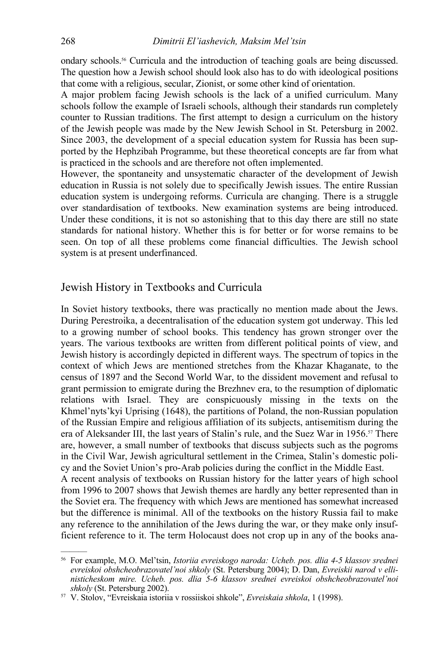ondary schools.56 Curricula and the introduction of teaching goals are being discussed. The question how a Jewish school should look also has to do with ideological positions that come with a religious, secular, Zionist, or some other kind of orientation.

A major problem facing Jewish schools is the lack of a unified curriculum. Many schools follow the example of Israeli schools, although their standards run completely counter to Russian traditions. The first attempt to design a curriculum on the history of the Jewish people was made by the New Jewish School in St. Petersburg in 2002. Since 2003, the development of a special education system for Russia has been supported by the Hephzibah Programme, but these theoretical concepts are far from what is practiced in the schools and are therefore not often implemented.

However, the spontaneity and unsystematic character of the development of Jewish education in Russia is not solely due to specifically Jewish issues. The entire Russian education system is undergoing reforms. Curricula are changing. There is a struggle over standardisation of textbooks. New examination systems are being introduced. Under these conditions, it is not so astonishing that to this day there are still no state standards for national history. Whether this is for better or for worse remains to be seen. On top of all these problems come financial difficulties. The Jewish school system is at present underfinanced.

#### Jewish History in Textbooks and Curricula

In Soviet history textbooks, there was practically no mention made about the Jews. During Perestroika, a decentralisation of the education system got underway. This led to a growing number of school books. This tendency has grown stronger over the years. The various textbooks are written from different political points of view, and Jewish history is accordingly depicted in different ways. The spectrum of topics in the context of which Jews are mentioned stretches from the Khazar Khaganate, to the census of 1897 and the Second World War, to the dissident movement and refusal to grant permission to emigrate during the Brezhnev era, to the resumption of diplomatic relations with Israel. They are conspicuously missing in the texts on the Khmel'nyts'kyi Uprising (1648), the partitions of Poland, the non-Russian population of the Russian Empire and religious affiliation of its subjects, antisemitism during the era of Aleksander III, the last years of Stalin's rule, and the Suez War in 1956.<sup>57</sup> There are, however, a small number of textbooks that discuss subjects such as the pogroms in the Civil War, Jewish agricultural settlement in the Crimea, Stalin's domestic policy and the Soviet Union's pro-Arab policies during the conflict in the Middle East.

A recent analysis of textbooks on Russian history for the latter years of high school from 1996 to 2007 shows that Jewish themes are hardly any better represented than in the Soviet era. The frequency with which Jews are mentioned has somewhat increased but the difference is minimal. All of the textbooks on the history Russia fail to make any reference to the annihilation of the Jews during the war, or they make only insufficient reference to it. The term Holocaust does not crop up in any of the books ana-

<sup>56</sup> For example, M.O. Mel'tsin, *Istoriia evreiskogo naroda: Ucheb. pos. dlia 4-5 klassov srednei evreiskoi obshcheobrazovatel'noi shkoly* (St. Petersburg 2004); D. Dan, *Evreiskii narod v ellinisticheskom mire. Ucheb. pos. dlia 5-6 klassov srednei evreiskoi obshcheobrazovatel'noi* 

<sup>&</sup>lt;sup>57</sup> V. Stolov, "Evreiskaia istoriia v rossiiskoi shkole", *Evreiskaia shkola*, 1 (1998).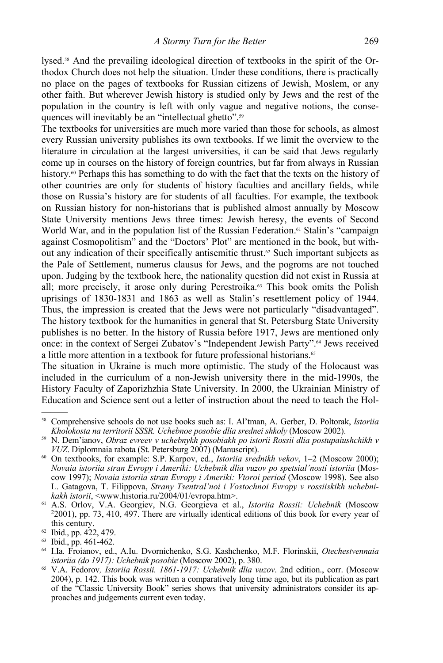lysed.58 And the prevailing ideological direction of textbooks in the spirit of the Orthodox Church does not help the situation. Under these conditions, there is practically no place on the pages of textbooks for Russian citizens of Jewish, Moslem, or any other faith. But wherever Jewish history is studied only by Jews and the rest of the population in the country is left with only vague and negative notions, the consequences will inevitably be an "intellectual ghetto".<sup>59</sup>

The textbooks for universities are much more varied than those for schools, as almost every Russian university publishes its own textbooks. If we limit the overview to the literature in circulation at the largest universities, it can be said that Jews regularly come up in courses on the history of foreign countries, but far from always in Russian history.<sup>60</sup> Perhaps this has something to do with the fact that the texts on the history of other countries are only for students of history faculties and ancillary fields, while those on Russia's history are for students of all faculties. For example, the textbook on Russian history for non-historians that is published almost annually by Moscow State University mentions Jews three times: Jewish heresy, the events of Second World War, and in the population list of the Russian Federation.<sup>61</sup> Stalin's "campaign against Cosmopolitism" and the "Doctors' Plot" are mentioned in the book, but without any indication of their specifically antisemitic thrust.62 Such important subjects as the Pale of Settlement, numerus clausus for Jews, and the pogroms are not touched upon. Judging by the textbook here, the nationality question did not exist in Russia at all; more precisely, it arose only during Perestroika.<sup>63</sup> This book omits the Polish uprisings of 1830-1831 and 1863 as well as Stalin's resettlement policy of 1944. Thus, the impression is created that the Jews were not particularly "disadvantaged". The history textbook for the humanities in general that St. Petersburg State University publishes is no better. In the history of Russia before 1917, Jews are mentioned only once: in the context of Sergei Zubatov's "Independent Jewish Party".<sup>64</sup> Jews received a little more attention in a textbook for future professional historians.<sup>65</sup>

The situation in Ukraine is much more optimistic. The study of the Holocaust was included in the curriculum of a non-Jewish university there in the mid-1990s, the History Faculty of Zaporizhzhia State University. In 2000, the Ukrainian Ministry of Education and Science sent out a letter of instruction about the need to teach the Hol-

<sup>58</sup> Comprehensive schools do not use books such as: I. Al'tman, A. Gerber, D. Poltorak, *Istoriia* 

<sup>&</sup>lt;sup>59</sup> N. Dem'ianov, *Obraz evreev v uchebnykh posobiakh po istorii Rossii dlia postupaiushchikh v VUZ. Diplomnaia rabota (St. Petersburg 2007) (Manuscript).* 

<sup>&</sup>lt;sup>60</sup> On textbooks, for example: S.P. Karpov, ed., *Istoriia srednikh vekov*, 1–2 (Moscow 2000); *Novaia istoriia stran Evropy i Ameriki: Uchebnik dlia vuzov po spetsial'nosti istoriia* (Moscow 1997); *Novaia istoriia stran Evropy i Ameriki: Vtoroi period* (Moscow 1998). See also L. Gatagova, T. Filippova, *Strany Tsentral'noi i Vostochnoi Evropy v rossiiskikh uchebni-*

<sup>&</sup>lt;sup>61</sup> A.S. Orlov, V.A. Georgiev, N.G. Georgieva et al., *Istoriia Rossii: Uchebnik* (Moscow <sup>2</sup>2001), pp. 73, 410, 497. There are virtually identical editions of this book for every year of this century.<br><sup>62</sup> Ibid., pp. 422, 479.

<sup>63</sup> Ibid., pp. 461-462.

<sup>64</sup> I.Ia. Froianov, ed., A.Iu. Dvornichenko, S.G. Kashchenko, M.F. Florinskii, *Otechestvennaia* 

*istoriia (do 1917): Uchebnik posobie* (Moscow 2002), p. 380. 65 V.A. Fedorov*, Istoriia Rossii. 1861-1917: Uchebnik dlia vuzov*. 2nd edition., corr. (Moscow 2004), p. 142. This book was written a comparatively long time ago, but its publication as part of the "Classic University Book" series shows that university administrators consider its approaches and judgements current even today.